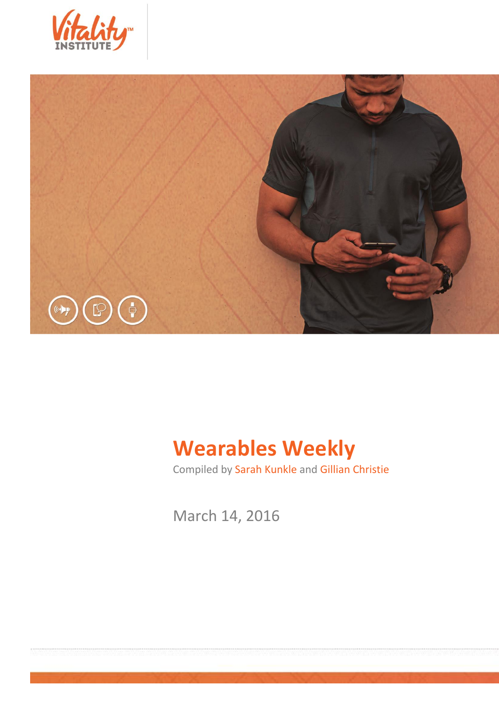



# **Wearables Weekly**

Compiled by Sarah Kunkle and Gillian Christie

March 14, 2016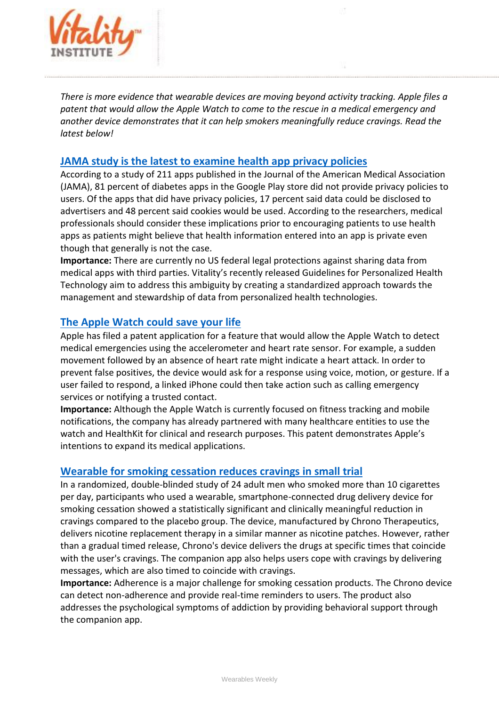

*There is more evidence that wearable devices are moving beyond activity tracking. Apple files a patent that would allow the Apple Watch to come to the rescue in a medical emergency and another device demonstrates that it can help smokers meaningfully reduce cravings. Read the latest below!*

### **[JAMA study is the latest to examine health app privacy policies](http://mobihealthnews.com/content/jama-study-latest-examine-health-app-privacy-policies)**

According to a study of 211 apps published in the Journal of the American Medical Association (JAMA), 81 percent of diabetes apps in the Google Play store did not provide privacy policies to users. Of the apps that did have privacy policies, 17 percent said data could be disclosed to advertisers and 48 percent said cookies would be used. According to the researchers, medical professionals should consider these implications prior to encouraging patients to use health apps as patients might believe that health information entered into an app is private even though that generally is not the case.

**Importance:** There are currently no US federal legal protections against sharing data from medical apps with third parties. Vitality's recently released Guidelines for Personalized Health Technology aim to address this ambiguity by creating a standardized approach towards the management and stewardship of data from personalized health technologies.

#### **[The Apple Watch could save your life](http://www.refinery29.com/2016/03/105673/apple-watch-emergency-response-patent-filing)**

Apple has filed a patent application for a feature that would allow the Apple Watch to detect medical emergencies using the accelerometer and heart rate sensor. For example, a sudden movement followed by an absence of heart rate might indicate a heart attack. In order to prevent false positives, the device would ask for a response using voice, motion, or gesture. If a user failed to respond, a linked iPhone could then take action such as calling emergency services or notifying a trusted contact.

**Importance:** Although the Apple Watch is currently focused on fitness tracking and mobile notifications, the company has already partnered with many healthcare entities to use the watch and HealthKit for clinical and research purposes. This patent demonstrates Apple's intentions to expand its medical applications.

#### **[Wearable for smoking cessation reduces cravings in small trial](http://mobihealthnews.com/content/wearable-smoking-cessation-reduces-cravings-small-trial)**

In a randomized, double-blinded study of 24 adult men who smoked more than 10 cigarettes per day, participants who used a wearable, smartphone-connected drug delivery device for smoking cessation showed a statistically significant and clinically meaningful reduction in cravings compared to the placebo group. The device, manufactured by Chrono Therapeutics, delivers nicotine replacement therapy in a similar manner as nicotine patches. However, rather than a gradual timed release, Chrono's device delivers the drugs at specific times that coincide with the user's cravings. The companion app also helps users cope with cravings by delivering messages, which are also timed to coincide with cravings.

**Importance:** Adherence is a major challenge for smoking cessation products. The Chrono device can detect non-adherence and provide real-time reminders to users. The product also addresses the psychological symptoms of addiction by providing behavioral support through the companion app.